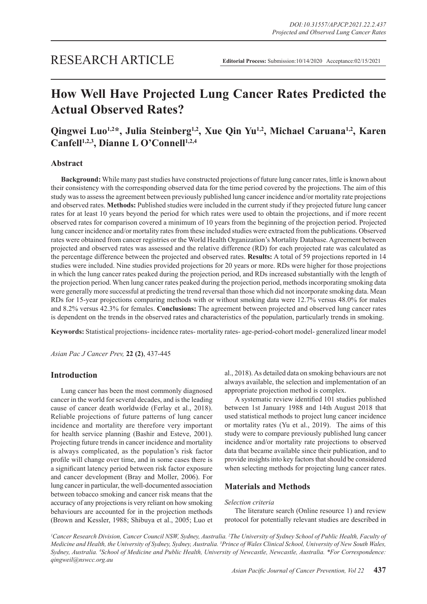## RESEARCH ARTICLE

**Editorial Process:** Submission:10/14/2020 Acceptance:02/15/2021

# **How Well Have Projected Lung Cancer Rates Predicted the Actual Observed Rates?**

Qingwei Luo<sup>1,2\*</sup>, Julia Steinberg<sup>1,2</sup>, Xue Qin Yu<sup>1,2</sup>, Michael Caruana<sup>1,2</sup>, Karen Canfell<sup>1,2,3</sup>, Dianne L O'Connell<sup>1,2,4</sup>

## **Abstract**

**Background:** While many past studies have constructed projections of future lung cancer rates, little is known about their consistency with the corresponding observed data for the time period covered by the projections. The aim of this study was to assess the agreement between previously published lung cancer incidence and/or mortality rate projections and observed rates. **Methods:** Published studies were included in the current study if they projected future lung cancer rates for at least 10 years beyond the period for which rates were used to obtain the projections, and if more recent observed rates for comparison covered a minimum of 10 years from the beginning of the projection period. Projected lung cancer incidence and/or mortality rates from these included studies were extracted from the publications. Observed rates were obtained from cancer registries or the World Health Organization's Mortality Database. Agreement between projected and observed rates was assessed and the relative difference (RD) for each projected rate was calculated as the percentage difference between the projected and observed rates. **Results:** A total of 59 projections reported in 14 studies were included. Nine studies provided projections for 20 years or more. RDs were higher for those projections in which the lung cancer rates peaked during the projection period, and RDs increased substantially with the length of the projection period. When lung cancer rates peaked during the projection period, methods incorporating smoking data were generally more successful at predicting the trend reversal than those which did not incorporate smoking data. Mean RDs for 15-year projections comparing methods with or without smoking data were 12.7% versus 48.0% for males and 8.2% versus 42.3% for females. **Conclusions:** The agreement between projected and observed lung cancer rates is dependent on the trends in the observed rates and characteristics of the population, particularly trends in smoking.

**Keywords:** Statistical projections- incidence rates- mortality rates- age-period-cohort model- generalized linear model

*Asian Pac J Cancer Prev,* **22 (2)**, 437-445

## **Introduction**

Lung cancer has been the most commonly diagnosed cancer in the world for several decades, and is the leading cause of cancer death worldwide (Ferlay et al., 2018). Reliable projections of future patterns of lung cancer incidence and mortality are therefore very important for health service planning (Bashir and Esteve, 2001). Projecting future trends in cancer incidence and mortality is always complicated, as the population's risk factor profile will change over time, and in some cases there is a significant latency period between risk factor exposure and cancer development (Bray and Moller, 2006). For lung cancer in particular, the well-documented association between tobacco smoking and cancer risk means that the accuracy of any projections is very reliant on how smoking behaviours are accounted for in the projection methods (Brown and Kessler, 1988; Shibuya et al., 2005; Luo et al., 2018). As detailed data on smoking behaviours are not always available, the selection and implementation of an appropriate projection method is complex.

A systematic review identified 101 studies published between 1st January 1988 and 14th August 2018 that used statistical methods to project lung cancer incidence or mortality rates (Yu et al., 2019). The aims of this study were to compare previously published lung cancer incidence and/or mortality rate projections to observed data that became available since their publication, and to provide insights into key factors that should be considered when selecting methods for projecting lung cancer rates.

#### **Materials and Methods**

#### *Selection criteria*

The literature search (Online resource 1) and review protocol for potentially relevant studies are described in

*1 Cancer Research Division, Cancer Council NSW, Sydney, Australia. 2 The University of Sydney School of Public Health, Faculty of*  Medicine and Health, the University of Sydney, Sydney, Australia. <sup>3</sup>Prince of Wales Clinical School, University of New South Wales, *Sydney, Australia. 4 School of Medicine and Public Health, University of Newcastle, Newcastle, Australia. \*For Correspondence: qingweil@nswcc.org.au*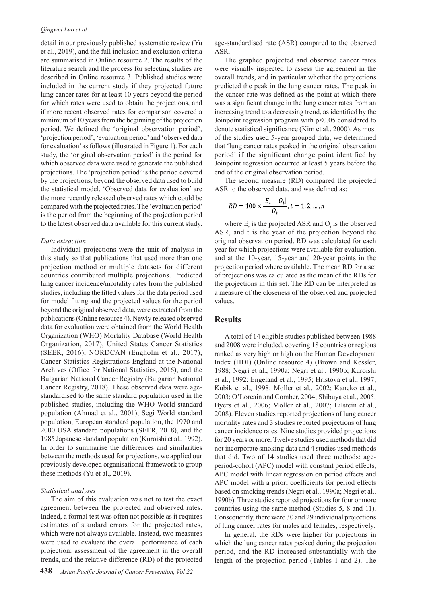#### *Qingwei Luo et al*

detail in our previously published systematic review (Yu et al., 2019), and the full inclusion and exclusion criteria are summarised in Online resource 2. The results of the literature search and the process for selecting studies are described in Online resource 3. Published studies were included in the current study if they projected future lung cancer rates for at least 10 years beyond the period for which rates were used to obtain the projections, and if more recent observed rates for comparison covered a minimum of 10 years from the beginning of the projection period. We defined the 'original observation period', 'projection period', 'evaluation period' and 'observed data for evaluation' as follows (illustrated in Figure 1). For each study, the 'original observation period' is the period for which observed data were used to generate the published projections. The 'projection period' is the period covered by the projections, beyond the observed data used to build the statistical model. 'Observed data for evaluation' are the more recently released observed rates which could be compared with the projected rates. The 'evaluation period' is the period from the beginning of the projection period to the latest observed data available for this current study.

#### *Data extraction*

Individual projections were the unit of analysis in this study so that publications that used more than one projection method or multiple datasets for different countries contributed multiple projections. Predicted lung cancer incidence/mortality rates from the published studies, including the fitted values for the data period used for model fitting and the projected values for the period beyond the original observed data, were extracted from the publications (Online resource 4). Newly released observed data for evaluation were obtained from the World Health Organization (WHO) Mortality Database (World Health Organization, 2017), United States Cancer Statistics (SEER, 2016), NORDCAN (Engholm et al., 2017), Cancer Statistics Registrations England at the National Archives (Office for National Statistics, 2016), and the Bulgarian National Cancer Registry (Bulgarian National Cancer Registry, 2018). These observed data were agestandardised to the same standard population used in the published studies, including the WHO World standard population (Ahmad et al., 2001), Segi World standard population, European standard population, the 1970 and 2000 USA standard populations (SEER, 2018), and the 1985 Japanese standard population (Kuroishi et al., 1992). In order to summarise the differences and similarities between the methods used for projections, we applied our previously developed organisational framework to group these methods (Yu et al., 2019).

#### *Statistical analyses*

The aim of this evaluation was not to test the exact agreement between the projected and observed rates. Indeed, a formal test was often not possible as it requires estimates of standard errors for the projected rates, which were not always available. Instead, two measures were used to evaluate the overall performance of each projection: assessment of the agreement in the overall trends, and the relative difference (RD) of the projected

age-standardised rate (ASR) compared to the observed ASR.

The graphed projected and observed cancer rates were visually inspected to assess the agreement in the overall trends, and in particular whether the projections predicted the peak in the lung cancer rates. The peak in the cancer rate was defined as the point at which there was a significant change in the lung cancer rates from an increasing trend to a decreasing trend, as identified by the Joinpoint regression program with p<0.05 considered to denote statistical significance (Kim et al., 2000). As most of the studies used 5-year grouped data, we determined that 'lung cancer rates peaked in the original observation period' if the significant change point identified by Joinpoint regression occurred at least 5 years before the end of the original observation period.

The second measure (RD) compared the projected ASR to the observed data, and was defined as:

$$
RD = 100 \times \frac{|E_t - O_t|}{O_t}, t = 1, 2, ..., n
$$

where  $E_t$  is the projected ASR and  $O_t$  is the observed ASR, and t is the year of the projection beyond the original observation period. RD was calculated for each year for which projections were available for evaluation, and at the 10-year, 15-year and 20-year points in the projection period where available. The mean RD for a set of projections was calculated as the mean of the RDs for the projections in this set. The RD can be interpreted as a measure of the closeness of the observed and projected values.

## **Results**

A total of 14 eligible studies published between 1988 and 2008 were included, covering 18 countries or regions ranked as very high or high on the Human Development Index (HDI) (Online resource 4) (Brown and Kessler, 1988; Negri et al., 1990a; Negri et al., 1990b; Kuroishi et al., 1992; Engeland et al., 1995; Hristova et al., 1997; Kubik et al., 1998; Moller et al., 2002; Kaneko et al., 2003; O'Lorcain and Comber, 2004; Shibuya et al., 2005; Byers et al., 2006; Moller et al., 2007; Eilstein et al., 2008). Eleven studies reported projections of lung cancer mortality rates and 3 studies reported projections of lung cancer incidence rates. Nine studies provided projections for 20 years or more. Twelve studies used methods that did not incorporate smoking data and 4 studies used methods that did. Two of 14 studies used three methods: ageperiod-cohort (APC) model with constant period effects, APC model with linear regression on period effects and APC model with a priori coefficients for period effects based on smoking trends (Negri et al., 1990a; Negri et al., 1990b). Three studies reported projections for four or more countries using the same method (Studies 5, 8 and 11). Consequently, there were 30 and 29 individual projections of lung cancer rates for males and females, respectively.

In general, the RDs were higher for projections in which the lung cancer rates peaked during the projection period, and the RD increased substantially with the length of the projection period (Tables 1 and 2). The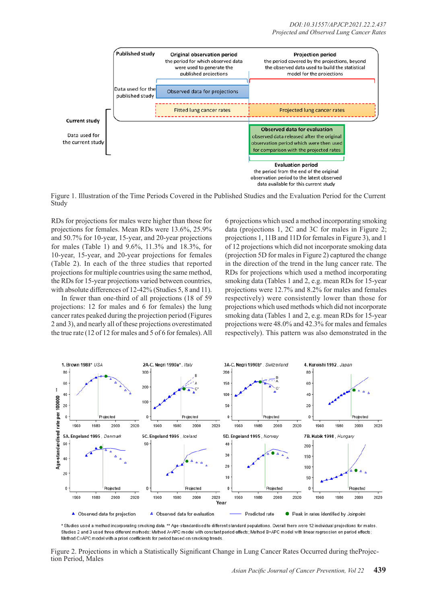

Figure 1. Illustration of the Time Periods Covered in the Published Studies and the Evaluation Period for the Current **Study** 

RDs for projections for males were higher than those for projections for females. Mean RDs were 13.6%, 25.9% and 50.7% for 10-year, 15-year, and 20-year projections for males (Table 1) and 9.6%, 11.3% and 18.3%, for 10-year, 15-year, and 20-year projections for females (Table 2). In each of the three studies that reported projections for multiple countries using the same method, the RDs for 15-year projections varied between countries, with absolute differences of 12-42% (Studies 5, 8 and 11).

In fewer than one-third of all projections (18 of 59 projections: 12 for males and 6 for females) the lung cancer rates peaked during the projection period (Figures 2 and 3), and nearly all of these projections overestimated the true rate (12 of 12 for males and 5 of 6 for females). All 6 projections which used a method incorporating smoking data (projections 1, 2C and 3C for males in Figure 2; projections 1, 11B and 11D for females in Figure 3), and 1 of 12 projections which did not incorporate smoking data (projection 5D for males in Figure 2) captured the change in the direction of the trend in the lung cancer rate. The RDs for projections which used a method incorporating smoking data (Tables 1 and 2, e.g. mean RDs for 15-year projections were 12.7% and 8.2% for males and females respectively) were consistently lower than those for projections which used methods which did not incorporate smoking data (Tables 1 and 2, e.g. mean RDs for 15-year projections were 48.0% and 42.3% for males and females respectively). This pattern was also demonstrated in the



\* Studies used a method incorporating smoking data. \*\* Age-standardised to different standard populations. Overall there were 12 individual projections for males Studies 2 and 3 used three different methods: Method A=APC model with constant period effects: Method B=APC model with linear regression on period effects: Method C=APC model with a priori coefficients for period based on smoking trends

Figure 2. Projections in which a Statistically Significant Change in Lung Cancer Rates Occurred during theProjec- tion Period, Males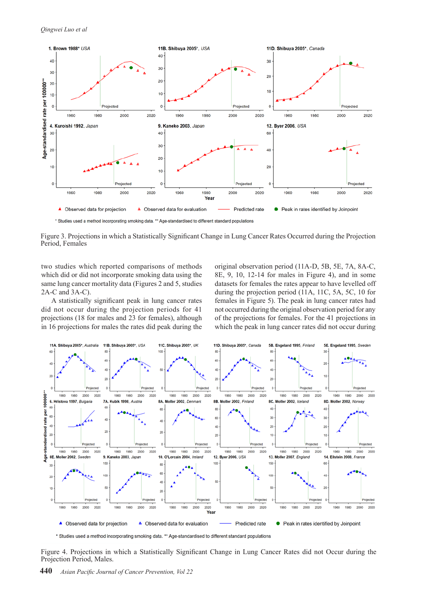*Qingwei Luo et al*



Figure 3. Projections in which a Statistically Significant Change in Lung Cancer Rates Occurred during the Projection Period, Females

two studies which reported comparisons of methods which did or did not incorporate smoking data using the same lung cancer mortality data (Figures 2 and 5, studies 2A-C and 3A-C).

A statistically significant peak in lung cancer rates did not occur during the projection periods for 41 projections (18 for males and 23 for females), although in 16 projections for males the rates did peak during the original observation period (11A-D, 5B, 5E, 7A, 8A-C, 8E, 9, 10, 12-14 for males in Figure 4), and in some datasets for females the rates appear to have levelled off during the projection period (11A, 11C, 5A, 5C, 10 for females in Figure 5). The peak in lung cancer rates had not occurred during the original observation period for any of the projections for females. For the 41 projections in which the peak in lung cancer rates did not occur during



\* Studies used a method incorporating smoking data. \*\* Age-standardised to different standard populations

Figure 4. Projections in which a Statistically Significant Change in Lung Cancer Rates did not Occur during the Projection Period, Males.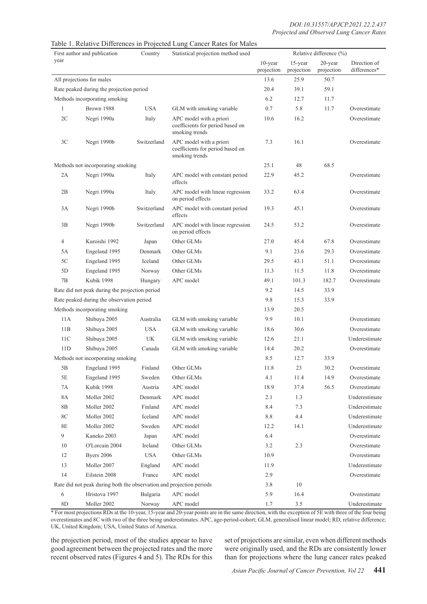| First author and publication                                         |                | Country     | Statistical projection method used                                            | Relative difference (%) |                       |                          |                              |
|----------------------------------------------------------------------|----------------|-------------|-------------------------------------------------------------------------------|-------------------------|-----------------------|--------------------------|------------------------------|
| year                                                                 |                |             |                                                                               | 10-year<br>projection   | 15-year<br>projection | $20$ -year<br>projection | Direction of<br>differences* |
| All projections for males                                            |                |             |                                                                               |                         | 25.9                  | 50.7                     |                              |
| Rate peaked during the projection period                             |                |             |                                                                               |                         | 39.1                  | 59.1                     |                              |
| Methods incorporating smoking                                        |                |             |                                                                               |                         | 12.7                  | 11.7                     |                              |
| 1                                                                    | Brown 1988     | <b>USA</b>  | GLM with smoking variable                                                     | 0.7                     | 5.8                   | 11.7                     | Overestimate                 |
| 2C                                                                   | Negri 1990a    | Italy       | APC model with a priori<br>coefficients for period based on<br>smoking trends | 10.6                    | 16.2                  |                          | Overestimate                 |
| 3C                                                                   | Negri 1990b    | Switzerland | APC model with a priori<br>coefficients for period based on<br>smoking trends | 7.3                     | 16.1                  |                          | Overestimate                 |
| Methods not incorporating smoking                                    |                |             |                                                                               |                         | 48                    | 68.5                     |                              |
| 2A                                                                   | Negri 1990a    | Italy       | APC model with constant period<br>effects                                     | 22.9                    | 45.2                  |                          | Overestimate                 |
| 2B                                                                   | Negri 1990a    | Italy       | APC model with linear regression<br>on period effects                         | 33.2                    | 63.4                  |                          | Overestimate                 |
| 3A                                                                   | Negri 1990b    | Switzerland | APC model with constant period<br>effects                                     | 19.3                    | 45.1                  |                          | Overestimate                 |
| 3B                                                                   | Negri 1990b    | Switzerland | APC model with linear regression<br>on period effects                         | 24.5                    | 53.2                  |                          | Overestimate                 |
| 4                                                                    | Kuroishi 1992  | Japan       | Other GLMs                                                                    | 27.0                    | 45.4                  | 67.8                     | Overestimate                 |
| 5A                                                                   | Engeland 1995  | Denmark     | Other GLMs                                                                    | 9.1                     | 23.6                  | 29.3                     | Overestimate                 |
| 5C                                                                   | Engeland 1995  | Iceland     | Other GLMs                                                                    | 29.5                    | 43.1                  | 51.1                     | Overestimate                 |
| 5D                                                                   | Engeland 1995  | Norway      | Other GLMs                                                                    | 11.3                    | 11.5                  | 11.8                     | Overestimate                 |
| 7B                                                                   | Kubik 1998     | Hungary     | APC model                                                                     | 49.1                    | 101.3                 | 182.7                    | Overestimate                 |
| Rate did not peak during the projection period                       |                |             |                                                                               | 9.2                     | 14.5                  | 33.9                     |                              |
| Rate peaked during the observation period                            |                |             |                                                                               |                         | 15.3                  | 33.9                     |                              |
| Methods incorporating smoking                                        |                |             |                                                                               |                         | 20.5                  |                          |                              |
| 11A                                                                  | Shibuya 2005   | Australia   | GLM with smoking variable                                                     | 9.9                     | 10.1                  |                          | Overestimate                 |
| 11B                                                                  | Shibuya 2005   | <b>USA</b>  | GLM with smoking variable                                                     | 18.6                    | 30.6                  |                          | Overestimate                 |
| 11 <sup>C</sup>                                                      | Shibuya 2005   | UK          | GLM with smoking variable                                                     | 12.6                    | 21.1                  |                          | Underestimate                |
| 11D                                                                  | Shibuya 2005   | Canada      | GLM with smoking variable                                                     | 14.4                    | 20.2                  |                          | Overestimate                 |
| Methods not incorporating smoking                                    |                |             |                                                                               |                         | 12.7                  | 33.9                     |                              |
| 5B                                                                   | Engeland 1995  | Finland     | Other GLMs                                                                    | 11.8                    | 23                    | 30.2                     | Overestimate                 |
| 5E                                                                   | Engeland 1995  | Sweden      | Other GLMs                                                                    | 4.1                     | 11.4                  | 14.9                     | Overestimate                 |
| 7A                                                                   | Kubik 1998     | Austria     | APC model                                                                     | 18.9                    | 37.4                  | 56.5                     | Overestimate                 |
| <b>8A</b>                                                            | Moller 2002    | Denmark     | APC model                                                                     | 2.1                     | 1.3                   |                          | Underestimate                |
| 8B                                                                   | Moller 2002    | Finland     | APC model                                                                     | $8.4\,$                 | 7.3                   |                          | Underestimate                |
| $8\mathrm{C}$                                                        | Moller 2002    | Iceland     | APC model                                                                     | $8.8\,$                 | 4.4                   |                          | Underestimate                |
| $8E$                                                                 | Moller 2002    | Sweden      | APC model                                                                     | 12.2                    | 14.1                  |                          | Underestimate                |
| 9                                                                    | Kaneko 2003    | Japan       | APC model                                                                     | 6.4                     |                       |                          | Overestimate                 |
| 10                                                                   | O'Lorcain 2004 | Ireland     | Other GLMs                                                                    | 3.2                     | 2.3                   |                          | Overestimate                 |
| 12                                                                   | Byers 2006     | <b>USA</b>  | Other GLMs                                                                    | 10.9                    |                       |                          | Overestimate                 |
| 13                                                                   | Moller 2007    | England     | APC model                                                                     | 11.9                    |                       |                          | Underestimate                |
| 14                                                                   | Eilstein 2008  | France      | APC model                                                                     | 2.9                     |                       |                          | Overestimate                 |
| Rate did not peak during both the observation and projection periods |                |             |                                                                               |                         | $10\,$                |                          |                              |
| $\sqrt{6}$                                                           | Hristova 1997  | Bulgaria    | APC model                                                                     | 5.9                     | 16.4                  |                          | Overestimate                 |
| 8D                                                                   | Moller 2002    | Norway      | APC model                                                                     | 1.7                     | $3.5\,$               |                          | Underestimate                |

Table 1. Relative Differences in Projected Lung Cancer Rates for Males

\* For most projections RDs at the 10-year, 15-year and 20-year points are in the same direction, with the exception of 5E with three of the four being overestimates and 8C with two of the three being underestimates. APC, age-period-cohort; GLM, generalised linear model; RD, relative difference; UK, United Kingdom; USA, United States of America.

the projection period, most of the studies appear to have good agreement between the projected rates and the more recent observed rates (Figures 4 and 5). The RDs for this set of projections are similar, even when different methods were originally used, and the RDs are consistently lower than for projections where the lung cancer rates peaked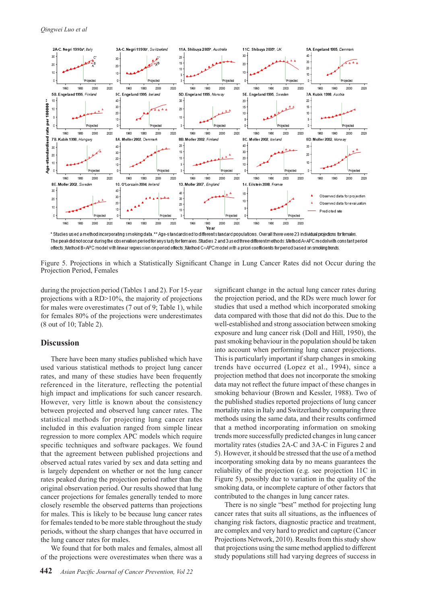

\* Studies used a method incorporating smoking data, \*\* Age-standardised to different standard populations. Overall there were 23 individual projections for females The peakdid not occur during the observation period for any study for females. Studies 2 and 3 used three different methods: Method A=APC model with constant period effects; Method B=APC model with linear regression on period effects; Method C=APC model with a priori coefficients for period based on smoking trends

Figure 5. Projections in which a Statistically Significant Change in Lung Cancer Rates did not Occur during the Projection Period, Females

during the projection period (Tables 1 and 2). For 15-year projections with a RD>10%, the majority of projections for males were overestimates (7 out of 9; Table 1), while for females 80% of the projections were underestimates (8 out of 10; Table 2).

## **Discussion**

There have been many studies published which have used various statistical methods to project lung cancer rates, and many of these studies have been frequently referenced in the literature, reflecting the potential high impact and implications for such cancer research. However, very little is known about the consistency between projected and observed lung cancer rates. The statistical methods for projecting lung cancer rates included in this evaluation ranged from simple linear regression to more complex APC models which require specific techniques and software packages. We found that the agreement between published projections and observed actual rates varied by sex and data setting and is largely dependent on whether or not the lung cancer rates peaked during the projection period rather than the original observation period. Our results showed that lung cancer projections for females generally tended to more closely resemble the observed patterns than projections for males. This is likely to be because lung cancer rates for females tended to be more stable throughout the study periods, without the sharp changes that have occurred in the lung cancer rates for males.

We found that for both males and females, almost all of the projections were overestimates when there was a significant change in the actual lung cancer rates during the projection period, and the RDs were much lower for studies that used a method which incorporated smoking data compared with those that did not do this. Due to the well-established and strong association between smoking exposure and lung cancer risk (Doll and Hill, 1950), the past smoking behaviour in the population should be taken into account when performing lung cancer projections. This is particularly important if sharp changes in smoking trends have occurred (Lopez et al., 1994), since a projection method that does not incorporate the smoking data may not reflect the future impact of these changes in smoking behaviour (Brown and Kessler, 1988). Two of the published studies reported projections of lung cancer mortality rates in Italy and Switzerland by comparing three methods using the same data, and their results confirmed that a method incorporating information on smoking trends more successfully predicted changes in lung cancer mortality rates (studies 2A-C and 3A-C in Figures 2 and 5). However, it should be stressed that the use of a method incorporating smoking data by no means guarantees the reliability of the projection (e.g. see projection 11C in Figure 5), possibly due to variation in the quality of the smoking data, or incomplete capture of other factors that contributed to the changes in lung cancer rates.

There is no single "best" method for projecting lung cancer rates that suits all situations, as the influences of changing risk factors, diagnostic practice and treatment, are complex and very hard to predict and capture (Cancer Projections Network, 2010). Results from this study show that projections using the same method applied to different study populations still had varying degrees of success in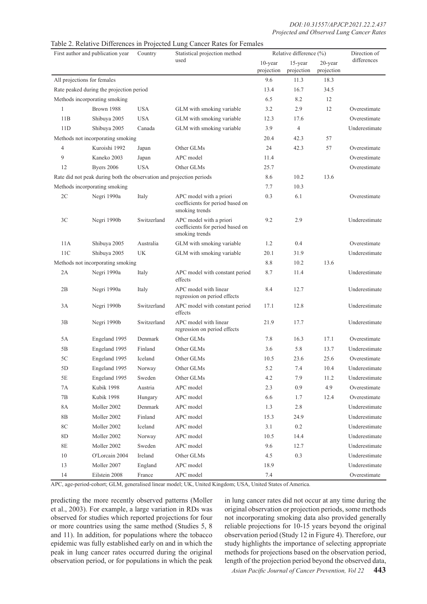| First author and publication year                                    |                               | Country     | Statistical projection method                                                 | Relative difference (%)  |                       |                       | Direction of  |
|----------------------------------------------------------------------|-------------------------------|-------------|-------------------------------------------------------------------------------|--------------------------|-----------------------|-----------------------|---------------|
|                                                                      |                               |             | used                                                                          | $10$ -year<br>projection | 15-year<br>projection | 20-year<br>projection | differences   |
| All projections for females                                          |                               |             |                                                                               |                          | 11.3                  | 18.3                  |               |
| Rate peaked during the projection period                             |                               |             |                                                                               |                          | 16.7                  | 34.5                  |               |
| Methods incorporating smoking                                        |                               |             |                                                                               |                          | 8.2                   | 12                    |               |
| $\mathbf{1}$                                                         | Brown 1988                    | <b>USA</b>  | GLM with smoking variable                                                     | 3.2                      | 2.9                   | 12                    | Overestimate  |
| 11B                                                                  | Shibuya 2005                  | <b>USA</b>  | GLM with smoking variable                                                     | 12.3                     | 17.6                  |                       | Overestimate  |
| 11D                                                                  | Shibuya 2005                  | Canada      | GLM with smoking variable                                                     | 3.9                      | $\overline{4}$        |                       | Underestimate |
| Methods not incorporating smoking                                    |                               |             |                                                                               |                          | 42.3                  | 57                    |               |
| $\overline{4}$                                                       | Kuroishi 1992                 | Japan       | Other GLMs                                                                    | 24                       | 42.3                  | 57                    | Overestimate  |
| 9                                                                    | Kaneko 2003                   | Japan       | APC model                                                                     | 11.4                     |                       |                       | Overestimate  |
| 12                                                                   | <b>Byers 2006</b>             | <b>USA</b>  | Other GLMs                                                                    | 25.7                     |                       |                       | Overestimate  |
| Rate did not peak during both the observation and projection periods |                               |             |                                                                               |                          | 10.2                  | 13.6                  |               |
|                                                                      | Methods incorporating smoking |             |                                                                               | 7.7                      | 10.3                  |                       |               |
| $2\mathrm{C}$                                                        | Negri 1990a                   | Italy       | APC model with a priori<br>coefficients for period based on<br>smoking trends | 0.3                      | 6.1                   |                       | Overestimate  |
| 3C                                                                   | Negri 1990b                   | Switzerland | APC model with a priori<br>coefficients for period based on<br>smoking trends | 9.2                      | 2.9                   |                       | Underestimate |
| 11A                                                                  | Shibuya 2005                  | Australia   | GLM with smoking variable                                                     | 1.2                      | 0.4                   |                       | Overestimate  |
| 11C                                                                  | Shibuya 2005                  | UK          | GLM with smoking variable                                                     | 20.1                     | 31.9                  |                       | Underestimate |
| Methods not incorporating smoking                                    |                               |             |                                                                               | 8.8                      | 10.2                  | 13.6                  |               |
| 2A                                                                   | Negri 1990a                   | Italy       | APC model with constant period<br>effects                                     | 8.7                      | 11.4                  |                       | Underestimate |
| 2B                                                                   | Negri 1990a                   | Italy       | APC model with linear<br>regression on period effects                         | 8.4                      | 12.7                  |                       | Underestimate |
| 3A                                                                   | Negri 1990b                   | Switzerland | APC model with constant period<br>effects                                     | 17.1                     | 12.8                  |                       | Underestimate |
| 3B                                                                   | Negri 1990b                   | Switzerland | APC model with linear<br>regression on period effects                         | 21.9                     | 17.7                  |                       | Underestimate |
| 5A                                                                   | Engeland 1995                 | Denmark     | Other GLMs                                                                    | 7.8                      | 16.3                  | 17.1                  | Overestimate  |
| 5B                                                                   | Engeland 1995                 | Finland     | Other GLMs                                                                    | 3.6                      | 5.8                   | 13.7                  | Underestimate |
| 5C                                                                   | Engeland 1995                 | Iceland     | Other GLMs                                                                    | 10.5                     | 23.6                  | 25.6                  | Overestimate  |
| 5D                                                                   | Engeland 1995                 | Norway      | Other GLMs                                                                    | 5.2                      | 7.4                   | 10.4                  | Underestimate |
| $5\mathrm{E}$                                                        | Engeland 1995                 | Sweden      | Other GLMs                                                                    | 4.2                      | 7.9                   | 11.2                  | Underestimate |
| <b>7A</b>                                                            | Kubik 1998                    | Austria     | APC model                                                                     | 2.3                      | 0.9                   | 4.9                   | Overestimate  |
| $7\mathrm{B}$                                                        | Kubik 1998                    | Hungary     | APC model                                                                     | 6.6                      | 1.7                   | 12.4                  | Overestimate  |
| <b>8A</b>                                                            | Moller 2002                   | Denmark     | APC model                                                                     | 1.3                      | $2.8\,$               |                       | Underestimate |
| $8\mathrm{B}$                                                        | Moller 2002                   | Finland     | APC model                                                                     | 15.3                     | 24.9                  |                       | Underestimate |
| $8\mathrm{C}$                                                        | Moller 2002                   | Iceland     | APC model                                                                     | 3.1                      | 0.2                   |                       | Underestimate |
| 8D                                                                   | Moller 2002                   | Norway      | APC model                                                                     | 10.5                     | 14.4                  |                       | Underestimate |
| $8\mathrm{E}$                                                        | Moller 2002                   | Sweden      | APC model                                                                     | 9.6                      | 12.7                  |                       | Underestimate |
| $10\,$                                                               | O'Lorcain 2004                | Ireland     | Other GLMs                                                                    | 4.5                      | $0.3\,$               |                       | Underestimate |
| 13                                                                   | Moller 2007                   | England     | APC model                                                                     | 18.9                     |                       |                       | Underestimate |
| 14                                                                   | Eilstein 2008                 | France      | APC model                                                                     | 7.4                      |                       |                       | Overestimate  |

APC, age-period-cohort; GLM, generalised linear model; UK, United Kingdom; USA, United States of America.

predicting the more recently observed patterns (Moller et al., 2003). For example, a large variation in RDs was observed for studies which reported projections for four or more countries using the same method (Studies 5, 8 and 11). In addition, for populations where the tobacco epidemic was fully established early on and in which the peak in lung cancer rates occurred during the original observation period, or for populations in which the peak

in lung cancer rates did not occur at any time during the original observation or projection periods, some methods not incorporating smoking data also provided generally reliable projections for 10-15 years beyond the original observation period (Study 12 in Figure 4). Therefore, our study highlights the importance of selecting appropriate methods for projections based on the observation period, length of the projection period beyond the observed data,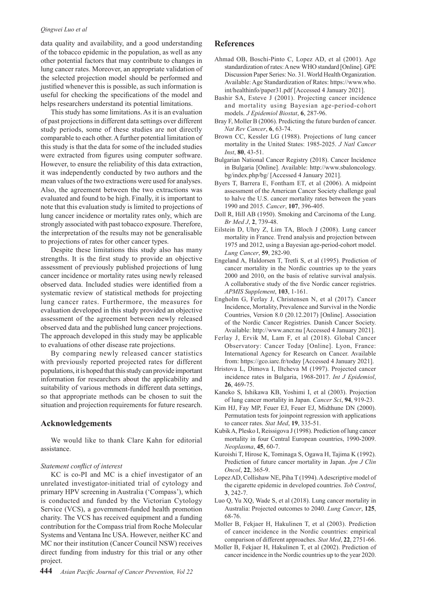#### *Qingwei Luo et al*

data quality and availability, and a good understanding of the tobacco epidemic in the population, as well as any other potential factors that may contribute to changes in lung cancer rates. Moreover, an appropriate validation of the selected projection model should be performed and justified whenever this is possible, as such information is useful for checking the specifications of the model and helps researchers understand its potential limitations.

This study has some limitations. As it is an evaluation of past projections in different data settings over different study periods, some of these studies are not directly comparable to each other. A further potential limitation of this study is that the data for some of the included studies were extracted from figures using computer software. However, to ensure the reliability of this data extraction, it was independently conducted by two authors and the mean values of the two extractions were used for analyses. Also, the agreement between the two extractions was evaluated and found to be high. Finally, it is important to note that this evaluation study is limited to projections of lung cancer incidence or mortality rates only, which are strongly associated with past tobacco exposure. Therefore, the interpretation of the results may not be generalisable to projections of rates for other cancer types.

Despite these limitations this study also has many strengths. It is the first study to provide an objective assessment of previously published projections of lung cancer incidence or mortality rates using newly released observed data. Included studies were identified from a systematic review of statistical methods for projecting lung cancer rates. Furthermore, the measures for evaluation developed in this study provided an objective assessment of the agreement between newly released observed data and the published lung cancer projections. The approach developed in this study may be applicable to evaluations of other disease rate projections.

By comparing newly released cancer statistics with previously reported projected rates for different populations, it is hoped that this study can provide important information for researchers about the applicability and suitability of various methods in different data settings, so that appropriate methods can be chosen to suit the situation and projection requirements for future research.

### **Acknowledgements**

We would like to thank Clare Kahn for editorial assistance.

#### *Statement conflict of interest*

KC is co-PI and MC is a chief investigator of an unrelated investigator-initiated trial of cytology and primary HPV screening in Australia ('Compass'), which is conducted and funded by the Victorian Cytology Service (VCS), a government-funded health promotion charity. The VCS has received equipment and a funding contribution for the Compass trial from Roche Molecular Systems and Ventana Inc USA. However, neither KC and MC nor their institution (Cancer Council NSW) receives direct funding from industry for this trial or any other project.

#### **References**

- Ahmad OB, Boschi-Pinto C, Lopez AD, et al (2001). Age standardization of rates: A new WHO standard [Online]. GPE Discussion Paper Series: No. 31. World Health Organization. Available: Age Standardization of Rates: https://www.who. int/healthinfo/paper31.pdf [Accessed 4 January 2021].
- Bashir SA, Esteve J (2001). Projecting cancer incidence and mortality using Bayesian age-period-cohort models. *J Epidemiol Biostat*, **6**, 287-96.
- Bray F, Moller B (2006). Predicting the future burden of cancer. *Nat Rev Cancer*, **6**, 63-74.
- Brown CC, Kessler LG (1988). Projections of lung cancer mortality in the United States: 1985-2025. *J Natl Cancer Inst*, **80**, 43-51.
- Bulgarian National Cancer Registry (2018). Cancer Incidence in Bulgaria [Online]. Available: http://www.sbaloncology. bg/index.php/bg/ [Accessed 4 January 2021].
- Byers T, Barrera E, Fontham ET, et al (2006). A midpoint assessment of the American Cancer Society challenge goal to halve the U.S. cancer mortality rates between the years 1990 and 2015. *Cancer*, **107**, 396-405.
- Doll R, Hill AB (1950). Smoking and Carcinoma of the Lung. *Br Med J*, **2**, 739-48.
- Eilstein D, Uhry Z, Lim TA, Bloch J (2008). Lung cancer mortality in France. Trend analysis and projection between 1975 and 2012, using a Bayesian age-period-cohort model. *Lung Cancer*, **59**, 282-90.
- Engeland A, Haldorsen T, Tretli S, et al (1995). Prediction of cancer mortality in the Nordic countries up to the years 2000 and 2010, on the basis of relative survival analysis. A collaborative study of the five Nordic cancer registries. *APMIS Supplement*, **103**, 1-161.
- Engholm G, Ferlay J, Christensen N, et al (2017). Cancer Incidence, Mortality, Prevalence and Survival in the Nordic Countries, Version 8.0 (20.12.2017) [Online]. Association of the Nordic Cancer Registries. Danish Cancer Society. Available: http://www.ancr.nu [Accessed 4 January 2021].
- Ferlay J, Ervik M, Lam F, et al (2018). Global Cancer Observatory: Cancer Today [Online]. Lyon, France: International Agency for Research on Cancer. Available from: https://gco.iarc.fr/today [Accessed 4 January 2021].
- Hristova L, Dimova I, Iltcheva M (1997). Projected cancer incidence rates in Bulgaria, 1968-2017. *Int J Epidemiol*, **26**, 469-75.
- Kaneko S, Ishikawa KB, Yoshimi I, et al (2003). Projection of lung cancer mortality in Japan. *Cancer Sci*, **94**, 919-23.
- Kim HJ, Fay MP, Feuer EJ, Feuer EJ, Midthune DN (2000). Permutation tests for joinpoint regression with applications to cancer rates. *Stat Med*, **19**, 335-51.
- Kubik A, Plesko I, Reissigova J (1998). Prediction of lung cancer mortality in four Central European countries, 1990-2009. *Neoplasma*, **45**, 60-7.
- Kuroishi T, Hirose K, Tominaga S, Ogawa H, Tajima K (1992). Prediction of future cancer mortality in Japan. *Jpn J Clin Oncol*, **22**, 365-9.
- Lopez AD, Collishaw NE, Piha T (1994). A descriptive model of the cigarette epidemic in developed countries. *Tob Control*, **3**, 242-7.
- Luo Q, Yu XQ, Wade S, et al (2018). Lung cancer mortality in Australia: Projected outcomes to 2040. *Lung Cancer*, **125**, 68-76.
- Moller B, Fekjaer H, Hakulinen T, et al (2003). Prediction of cancer incidence in the Nordic countries: empirical comparison of different approaches. *Stat Med*, **22**, 2751-66.
- Moller B, Fekjaer H, Hakulinen T, et al (2002). Prediction of cancer incidence in the Nordic countries up to the year 2020.